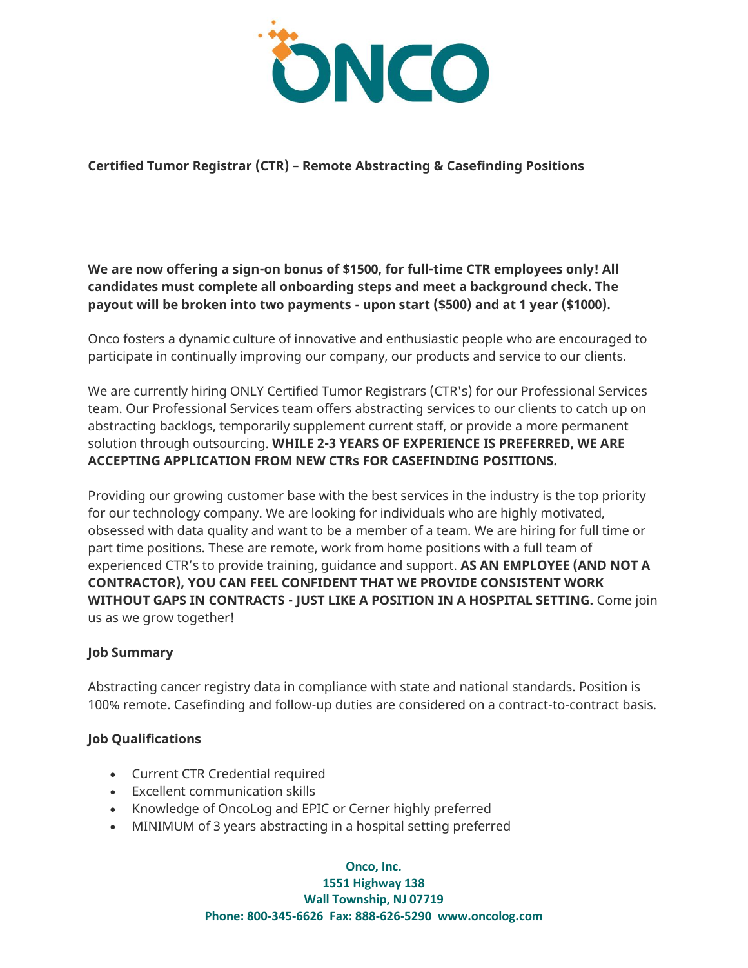

**Certified Tumor Registrar (CTR) – Remote Abstracting & Casefinding Positions**

**We are now offering a sign-on bonus of \$1500, for full-time CTR employees only! All candidates must complete all onboarding steps and meet a background check. The payout will be broken into two payments - upon start (\$500) and at 1 year (\$1000).**

Onco fosters a dynamic culture of innovative and enthusiastic people who are encouraged to participate in continually improving our company, our products and service to our clients.

We are currently hiring ONLY Certified Tumor Registrars (CTR's) for our Professional Services team. Our Professional Services team offers abstracting services to our clients to catch up on abstracting backlogs, temporarily supplement current staff, or provide a more permanent solution through outsourcing. **WHILE 2-3 YEARS OF EXPERIENCE IS PREFERRED, WE ARE ACCEPTING APPLICATION FROM NEW CTRs FOR CASEFINDING POSITIONS.**

Providing our growing customer base with the best services in the industry is the top priority for our technology company. We are looking for individuals who are highly motivated, obsessed with data quality and want to be a member of a team. We are hiring for full time or part time positions. These are remote, work from home positions with a full team of experienced CTR's to provide training, guidance and support. **AS AN EMPLOYEE (AND NOT A CONTRACTOR), YOU CAN FEEL CONFIDENT THAT WE PROVIDE CONSISTENT WORK WITHOUT GAPS IN CONTRACTS - JUST LIKE A POSITION IN A HOSPITAL SETTING.** Come join us as we grow together!

## **Job Summary**

Abstracting cancer registry data in compliance with state and national standards. Position is 100% remote. Casefinding and follow-up duties are considered on a contract-to-contract basis.

### **Job Qualifications**

- Current CTR Credential required
- Excellent communication skills
- Knowledge of OncoLog and EPIC or Cerner highly preferred
- MINIMUM of 3 years abstracting in a hospital setting preferred

**Onco, Inc.**

**1551 Highway 138 Wall Township, NJ 07719 Phone: 800-345-6626 Fax: 888-626-5290 www.oncolog.com**